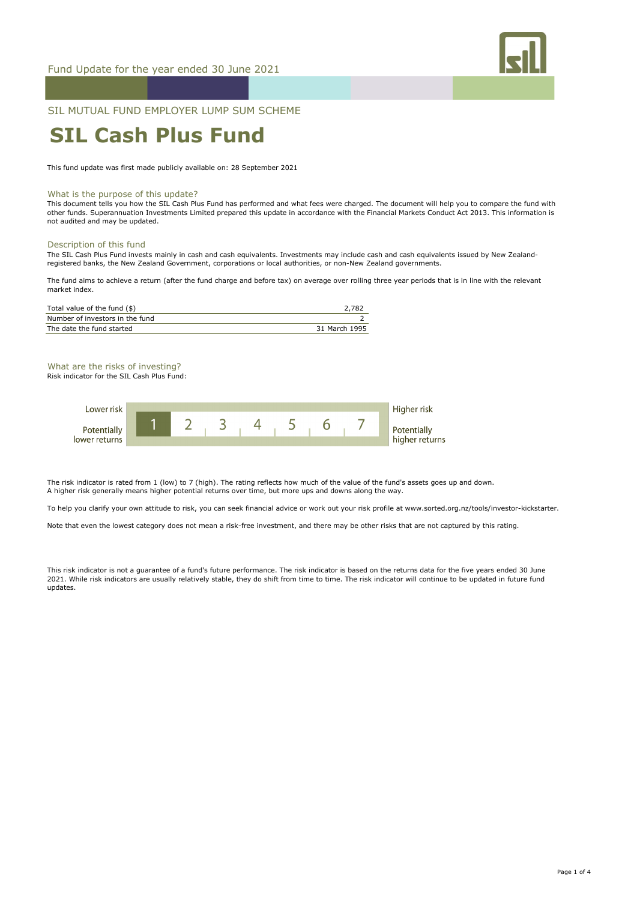

## SIL MUTUAL FUND EMPLOYER LUMP SUM SCHEME

# **SIL Cash Plus Fund**

This fund update was first made publicly available on: 28 September 2021

#### What is the purpose of this update?

This document tells you how the SIL Cash Plus Fund has performed and what fees were charged. The document will help you to compare the fund with other funds. Superannuation Investments Limited prepared this update in accordance with the Financial Markets Conduct Act 2013. This information is not audited and may be updated.

#### Description of this fund

The SIL Cash Plus Fund invests mainly in cash and cash equivalents. Investments may include cash and cash equivalents issued by New Zealandregistered banks, the New Zealand Government, corporations or local authorities, or non-New Zealand governments.

The fund aims to achieve a return (after the fund charge and before tax) on average over rolling three year periods that is in line with the relevant market index.

| Total value of the fund (\$)    | 2.782         |
|---------------------------------|---------------|
| Number of investors in the fund |               |
| The date the fund started       | 31 March 1995 |

## What are the risks of investing?

Risk indicator for the SIL Cash Plus Fund:

| Lower risk                   |  |  |  |  | Higher risk                   |
|------------------------------|--|--|--|--|-------------------------------|
| Potentially<br>lower returns |  |  |  |  | Potentially<br>higher returns |
|                              |  |  |  |  |                               |

The risk indicator is rated from 1 (low) to 7 (high). The rating reflects how much of the value of the fund's assets goes up and down. A higher risk generally means higher potential returns over time, but more ups and downs along the way.

To help you clarify your own attitude to risk, you can seek financial advice or work out your risk profile at www.sorted.org.nz/tools/investor-kickstarter.

Note that even the lowest category does not mean a risk-free investment, and there may be other risks that are not captured by this rating.

This risk indicator is not a guarantee of a fund's future performance. The risk indicator is based on the returns data for the five years ended 30 June 2021. While risk indicators are usually relatively stable, they do shift from time to time. The risk indicator will continue to be updated in future fund updates.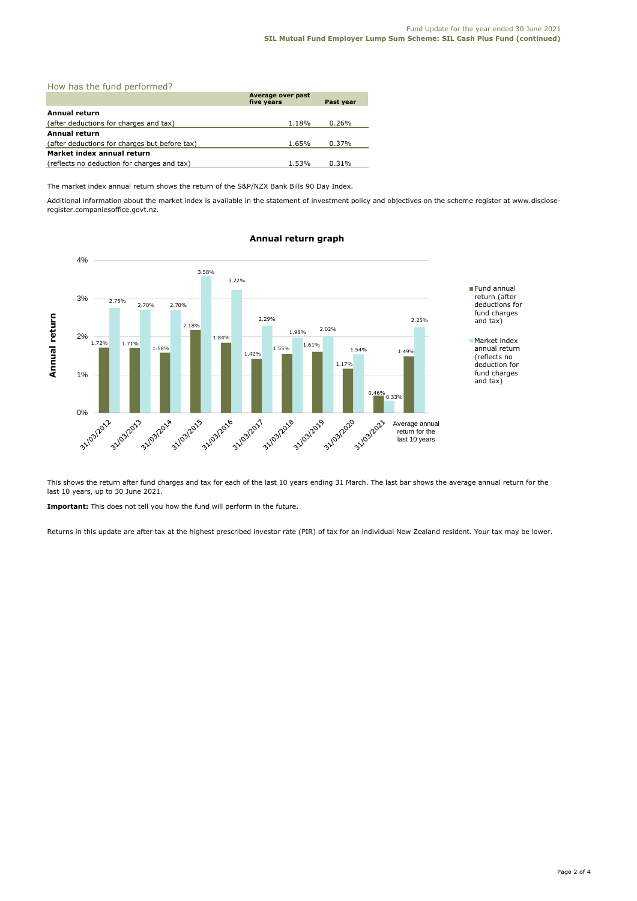|  |  |  |  | How has the fund performed? |  |
|--|--|--|--|-----------------------------|--|
|--|--|--|--|-----------------------------|--|

|                                               | Average over past<br>five years | Past year |
|-----------------------------------------------|---------------------------------|-----------|
| Annual return                                 |                                 |           |
| (after deductions for charges and tax)        | 1.18%                           | 0.26%     |
| <b>Annual return</b>                          |                                 |           |
| (after deductions for charges but before tax) | 1.65%                           | 0.37%     |
| Market index annual return                    |                                 |           |
| (reflects no deduction for charges and tax)   | 1.53%                           | 0.31%     |

The market index annual return shows the return of the S&P/NZX Bank Bills 90 Day Index.

Additional information about the market index is available in the statement of investment policy and objectives on the scheme register at www.discloseregister.companiesoffice.govt.nz.



### **Annual return graph**

This shows the return after fund charges and tax for each of the last 10 years ending 31 March. The last bar shows the average annual return for the last 10 years, up to 30 June 2021.

**Important:** This does not tell you how the fund will perform in the future.

Returns in this update are after tax at the highest prescribed investor rate (PIR) of tax for an individual New Zealand resident. Your tax may be lower.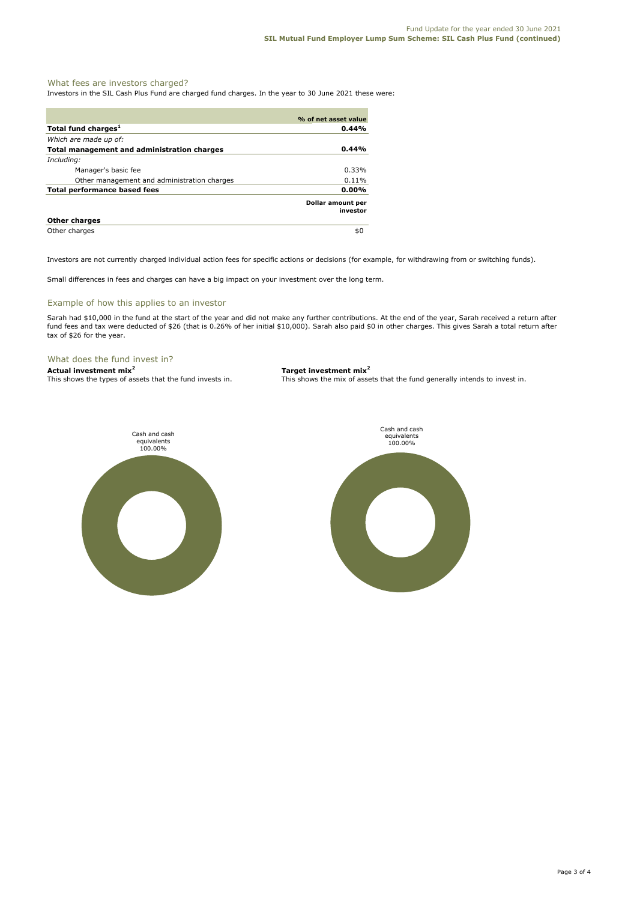#### What fees are investors charged?

Investors in the SIL Cash Plus Fund are charged fund charges. In the year to 30 June 2021 these were:

|                                                    | % of net asset value          |
|----------------------------------------------------|-------------------------------|
| Total fund charges <sup>1</sup>                    | 0.44%                         |
| Which are made up of:                              |                               |
| <b>Total management and administration charges</b> | 0.44%                         |
| Including:                                         |                               |
| Manager's basic fee                                | $0.33\%$                      |
| Other management and administration charges        | 0.11%                         |
| <b>Total performance based fees</b>                | 0.00%                         |
|                                                    | Dollar amount per<br>investor |
| <b>Other charges</b>                               |                               |
| Other charges                                      | \$0                           |

Investors are not currently charged individual action fees for specific actions or decisions (for example, for withdrawing from or switching funds).

Small differences in fees and charges can have a big impact on your investment over the long term.

#### Example of how this applies to an investor

Sarah had \$10,000 in the fund at the start of the year and did not make any further contributions. At the end of the year, Sarah received a return after fund fees and tax were deducted of \$26 (that is 0.26% of her initial \$10,000). Sarah also paid \$0 in other charges. This gives Sarah a total return after tax of \$26 for the year.

#### What does the fund invest in?

**Actual investment mix<sup>2</sup> <b>Target investment mix**<sup>2</sup> This shows the types of assets that the fund invests in. This shows the mix of assets

This shows the mix of assets that the fund generally intends to invest in.